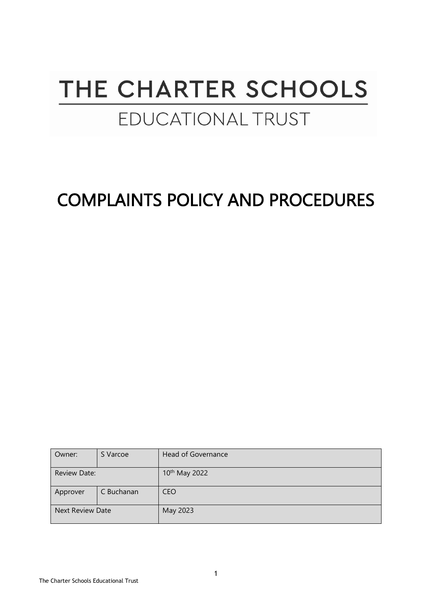# THE CHARTER SCHOOLS EDUCATIONAL TRUST

## COMPLAINTS POLICY AND PROCEDURES

| Owner:                  | S Varcoe   | Head of Governance |
|-------------------------|------------|--------------------|
| <b>Review Date:</b>     |            | $10^{th}$ May 2022 |
| Approver                | C Buchanan | <b>CEO</b>         |
| <b>Next Review Date</b> |            | May 2023           |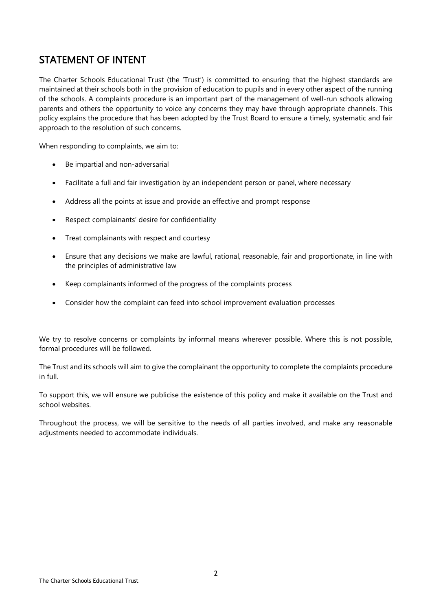## STATEMENT OF INTENT

The Charter Schools Educational Trust (the 'Trust') is committed to ensuring that the highest standards are maintained at their schools both in the provision of education to pupils and in every other aspect of the running of the schools. A complaints procedure is an important part of the management of well-run schools allowing parents and others the opportunity to voice any concerns they may have through appropriate channels. This policy explains the procedure that has been adopted by the Trust Board to ensure a timely, systematic and fair approach to the resolution of such concerns.

When responding to complaints, we aim to:

- Be impartial and non-adversarial
- Facilitate a full and fair investigation by an independent person or panel, where necessary
- Address all the points at issue and provide an effective and prompt response
- Respect complainants' desire for confidentiality
- Treat complainants with respect and courtesy
- Ensure that any decisions we make are lawful, rational, reasonable, fair and proportionate, in line with the principles of administrative law
- Keep complainants informed of the progress of the complaints process
- Consider how the complaint can feed into school improvement evaluation processes

We try to resolve concerns or complaints by informal means wherever possible. Where this is not possible, formal procedures will be followed.

The Trust and its schools will aim to give the complainant the opportunity to complete the complaints procedure in full.

To support this, we will ensure we publicise the existence of this policy and make it available on the Trust and school websites.

Throughout the process, we will be sensitive to the needs of all parties involved, and make any reasonable adjustments needed to accommodate individuals.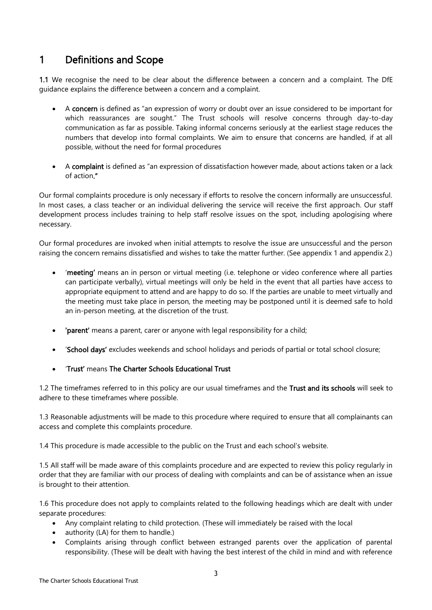## 1 Definitions and Scope

1.1 We recognise the need to be clear about the difference between a concern and a complaint. The DfE guidance explains the difference between a concern and a complaint.

- A concern is defined as "an expression of worry or doubt over an issue considered to be important for which reassurances are sought." The Trust schools will resolve concerns through day-to-day communication as far as possible. Taking informal concerns seriously at the earliest stage reduces the numbers that develop into formal complaints. We aim to ensure that concerns are handled, if at all possible, without the need for formal procedures
- A complaint is defined as "an expression of dissatisfaction however made, about actions taken or a lack of action."

Our formal complaints procedure is only necessary if efforts to resolve the concern informally are unsuccessful. In most cases, a class teacher or an individual delivering the service will receive the first approach. Our staff development process includes training to help staff resolve issues on the spot, including apologising where necessary.

Our formal procedures are invoked when initial attempts to resolve the issue are unsuccessful and the person raising the concern remains dissatisfied and wishes to take the matter further. (See appendix 1 and appendix 2.)

- 'meeting' means an in person or virtual meeting (i.e. telephone or video conference where all parties can participate verbally), virtual meetings will only be held in the event that all parties have access to appropriate equipment to attend and are happy to do so. If the parties are unable to meet virtually and the meeting must take place in person, the meeting may be postponed until it is deemed safe to hold an in-person meeting, at the discretion of the trust.
- 'parent' means a parent, carer or anyone with legal responsibility for a child;
- 'School days' excludes weekends and school holidays and periods of partial or total school closure;
- 'Trust' means The Charter Schools Educational Trust

1.2 The timeframes referred to in this policy are our usual timeframes and the Trust and its schools will seek to adhere to these timeframes where possible.

1.3 Reasonable adjustments will be made to this procedure where required to ensure that all complainants can access and complete this complaints procedure.

1.4 This procedure is made accessible to the public on the Trust and each school's website.

1.5 All staff will be made aware of this complaints procedure and are expected to review this policy regularly in order that they are familiar with our process of dealing with complaints and can be of assistance when an issue is brought to their attention.

1.6 This procedure does not apply to complaints related to the following headings which are dealt with under separate procedures:

- Any complaint relating to child protection. (These will immediately be raised with the local
- authority (LA) for them to handle.)
- Complaints arising through conflict between estranged parents over the application of parental responsibility. (These will be dealt with having the best interest of the child in mind and with reference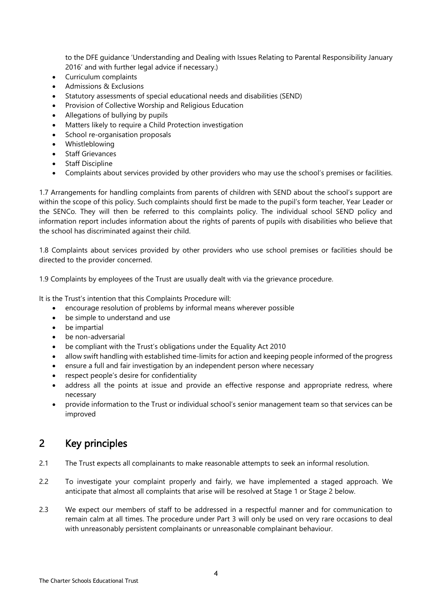to the DFE guidance 'Understanding and Dealing with Issues Relating to Parental Responsibility January 2016' and with further legal advice if necessary.)

- Curriculum complaints
- Admissions & Exclusions
- Statutory assessments of special educational needs and disabilities (SEND)
- Provision of Collective Worship and Religious Education
- Allegations of bullying by pupils
- Matters likely to require a Child Protection investigation
- School re-organisation proposals
- Whistleblowing
- Staff Grievances
- Staff Discipline
- Complaints about services provided by other providers who may use the school's premises or facilities.

1.7 Arrangements for handling complaints from parents of children with SEND about the school's support are within the scope of this policy. Such complaints should first be made to the pupil's form teacher, Year Leader or the SENCo. They will then be referred to this complaints policy. The individual school SEND policy and information report includes information about the rights of parents of pupils with disabilities who believe that the school has discriminated against their child.

1.8 Complaints about services provided by other providers who use school premises or facilities should be directed to the provider concerned.

1.9 Complaints by employees of the Trust are usually dealt with via the grievance procedure.

It is the Trust's intention that this Complaints Procedure will:

- encourage resolution of problems by informal means wherever possible
- be simple to understand and use
- be impartial
- be non-adversarial
- be compliant with the Trust's obligations under the Equality Act 2010
- allow swift handling with established time-limits for action and keeping people informed of the progress
- ensure a full and fair investigation by an independent person where necessary
- respect people's desire for confidentiality
- address all the points at issue and provide an effective response and appropriate redress, where necessary
- provide information to the Trust or individual school's senior management team so that services can be improved

## 2 Key principles

- 2.1 The Trust expects all complainants to make reasonable attempts to seek an informal resolution.
- 2.2 To investigate your complaint properly and fairly, we have implemented a staged approach. We anticipate that almost all complaints that arise will be resolved at Stage 1 or Stage 2 below.
- 2.3 We expect our members of staff to be addressed in a respectful manner and for communication to remain calm at all times. The procedure under Part 3 will only be used on very rare occasions to deal with unreasonably persistent complainants or unreasonable complainant behaviour.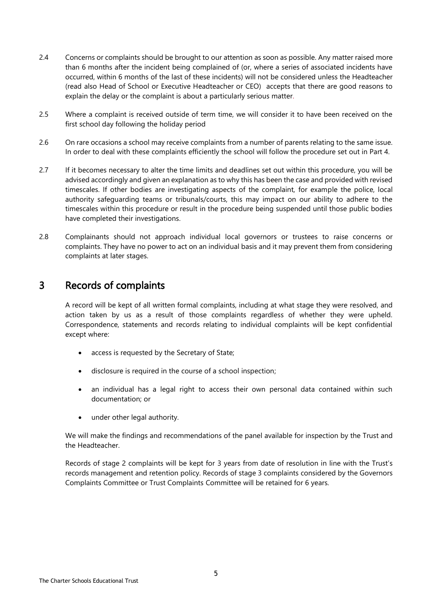- 2.4 Concerns or complaints should be brought to our attention as soon as possible. Any matter raised more than 6 months after the incident being complained of (or, where a series of associated incidents have occurred, within 6 months of the last of these incidents) will not be considered unless the Headteacher (read also Head of School or Executive Headteacher or CEO) accepts that there are good reasons to explain the delay or the complaint is about a particularly serious matter.
- 2.5 Where a complaint is received outside of term time, we will consider it to have been received on the first school day following the holiday period
- 2.6 On rare occasions a school may receive complaints from a number of parents relating to the same issue. In order to deal with these complaints efficiently the school will follow the procedure set out in Part 4.
- 2.7 If it becomes necessary to alter the time limits and deadlines set out within this procedure, you will be advised accordingly and given an explanation as to why this has been the case and provided with revised timescales. If other bodies are investigating aspects of the complaint, for example the police, local authority safeguarding teams or tribunals/courts, this may impact on our ability to adhere to the timescales within this procedure or result in the procedure being suspended until those public bodies have completed their investigations.
- 2.8 Complainants should not approach individual local governors or trustees to raise concerns or complaints. They have no power to act on an individual basis and it may prevent them from considering complaints at later stages.

## 3 Records of complaints

A record will be kept of all written formal complaints, including at what stage they were resolved, and action taken by us as a result of those complaints regardless of whether they were upheld. Correspondence, statements and records relating to individual complaints will be kept confidential except where:

- access is requested by the Secretary of State;
- disclosure is required in the course of a school inspection;
- an individual has a legal right to access their own personal data contained within such documentation; or
- under other legal authority.

We will make the findings and recommendations of the panel available for inspection by the Trust and the Headteacher.

Records of stage 2 complaints will be kept for 3 years from date of resolution in line with the Trust's records management and retention policy. Records of stage 3 complaints considered by the Governors Complaints Committee or Trust Complaints Committee will be retained for 6 years.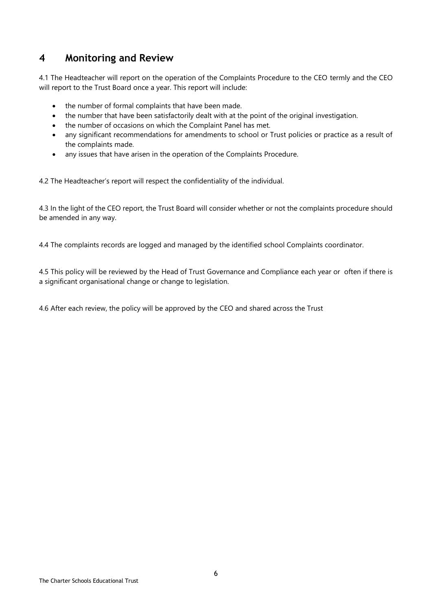## **4 Monitoring and Review**

4.1 The Headteacher will report on the operation of the Complaints Procedure to the CEO termly and the CEO will report to the Trust Board once a year. This report will include:

- the number of formal complaints that have been made.
- the number that have been satisfactorily dealt with at the point of the original investigation.
- the number of occasions on which the Complaint Panel has met.
- any significant recommendations for amendments to school or Trust policies or practice as a result of the complaints made.
- any issues that have arisen in the operation of the Complaints Procedure.

4.2 The Headteacher's report will respect the confidentiality of the individual.

4.3 In the light of the CEO report, the Trust Board will consider whether or not the complaints procedure should be amended in any way.

4.4 The complaints records are logged and managed by the identified school Complaints coordinator.

4.5 This policy will be reviewed by the Head of Trust Governance and Compliance each year or often if there is a significant organisational change or change to legislation.

4.6 After each review, the policy will be approved by the CEO and shared across the Trust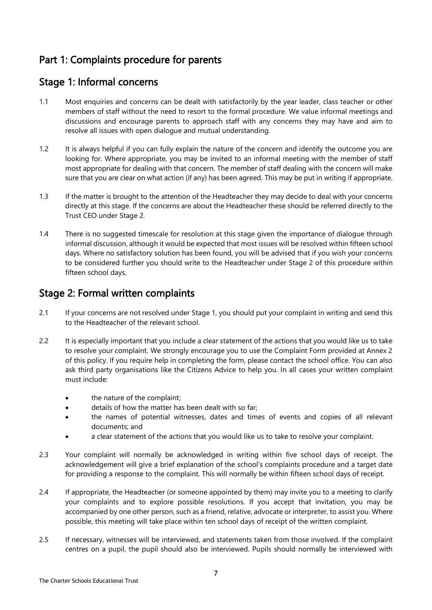## Part 1: Complaints procedure for parents

## Stage 1: Informal concerns

- 1.1 Most enquiries and concerns can be dealt with satisfactorily by the year leader, class teacher or other members of staff without the need to resort to the formal procedure. We value informal meetings and discussions and encourage parents to approach staff with any concerns they may have and aim to resolve all issues with open dialogue and mutual understanding.
- 1.2 It is always helpful if you can fully explain the nature of the concern and identify the outcome you are looking for. Where appropriate, you may be invited to an informal meeting with the member of staff most appropriate for dealing with that concern. The member of staff dealing with the concern will make sure that you are clear on what action (if any) has been agreed. This may be put in writing if appropriate.
- 1.3 If the matter is brought to the attention of the Headteacher they may decide to deal with your concerns directly at this stage. If the concerns are about the Headteacher these should be referred directly to the Trust CEO under Stage 2.
- 1.4 There is no suggested timescale for resolution at this stage given the importance of dialogue through informal discussion, although it would be expected that most issues will be resolved within fifteen school days. Where no satisfactory solution has been found, you will be advised that if you wish your concerns to be considered further you should write to the Headteacher under Stage 2 of this procedure within fifteen school days.

## Stage 2: Formal written complaints

- 2.1 If your concerns are not resolved under Stage 1, you should put your complaint in writing and send this to the Headteacher of the relevant school.
- 2.2 It is especially important that you include a clear statement of the actions that you would like us to take to resolve your complaint. We strongly encourage you to use the Complaint Form provided at Annex 2 of this policy. If you require help in completing the form, please contact the school office. You can also ask third party organisations like the Citizens Advice to help you. In all cases your written complaint must include:
	- the nature of the complaint;
	- details of how the matter has been dealt with so far;
	- the names of potential witnesses, dates and times of events and copies of all relevant documents; and
	- a clear statement of the actions that you would like us to take to resolve your complaint.
- 2.3 Your complaint will normally be acknowledged in writing within five school days of receipt. The acknowledgement will give a brief explanation of the school's complaints procedure and a target date for providing a response to the complaint. This will normally be within fifteen school days of receipt.
- 2.4 If appropriate, the Headteacher (or someone appointed by them) may invite you to a meeting to clarify your complaints and to explore possible resolutions. If you accept that invitation, you may be accompanied by one other person, such as a friend, relative, advocate or interpreter, to assist you. Where possible, this meeting will take place within ten school days of receipt of the written complaint.
- 2.5 If necessary, witnesses will be interviewed, and statements taken from those involved. If the complaint centres on a pupil, the pupil should also be interviewed. Pupils should normally be interviewed with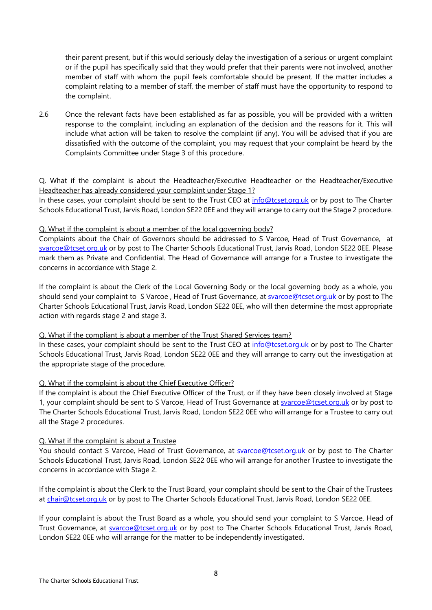their parent present, but if this would seriously delay the investigation of a serious or urgent complaint or if the pupil has specifically said that they would prefer that their parents were not involved, another member of staff with whom the pupil feels comfortable should be present. If the matter includes a complaint relating to a member of staff, the member of staff must have the opportunity to respond to the complaint.

2.6 Once the relevant facts have been established as far as possible, you will be provided with a written response to the complaint, including an explanation of the decision and the reasons for it. This will include what action will be taken to resolve the complaint (if any). You will be advised that if you are dissatisfied with the outcome of the complaint, you may request that your complaint be heard by the Complaints Committee under Stage 3 of this procedure.

#### Q. What if the complaint is about the Headteacher/Executive Headteacher or the Headteacher/Executive Headteacher has already considered your complaint under Stage 1?

In these cases, your complaint should be sent to the Trust CEO at [info@tcset.org.uk](mailto:info@tcset.org.uk) or by post to The Charter Schools Educational Trust, Jarvis Road, London SE22 0EE and they will arrange to carry out the Stage 2 procedure.

#### Q. What if the complaint is about a member of the local governing body?

Complaints about the Chair of Governors should be addressed to S Varcoe, Head of Trust Governance, at [svarcoe@tcset.org.uk](mailto:svarcoe@tcset.org.uk) or by post to The Charter Schools Educational Trust, Jarvis Road, London SE22 0EE. Please mark them as Private and Confidential. The Head of Governance will arrange for a Trustee to investigate the concerns in accordance with Stage 2.

If the complaint is about the Clerk of the Local Governing Body or the local governing body as a whole, you should send your complaint to S Varcoe , Head of Trust Governance, at [svarcoe@tcset.org.uk](mailto:svarcoe@tcset.org.uk) or by post to The Charter Schools Educational Trust, Jarvis Road, London SE22 0EE, who will then determine the most appropriate action with regards stage 2 and stage 3.

#### Q. What if the compliant is about a member of the Trust Shared Services team?

In these cases, your complaint should be sent to the Trust CEO at [info@tcset.org.uk](mailto:info@tcset.org.uk) or by post to The Charter Schools Educational Trust, Jarvis Road, London SE22 0EE and they will arrange to carry out the investigation at the appropriate stage of the procedure.

#### Q. What if the complaint is about the Chief Executive Officer?

If the complaint is about the Chief Executive Officer of the Trust, or if they have been closely involved at Stage 1, your complaint should be sent to S Varcoe, Head of Trust Governance at [svarcoe@tcset.org.uk](mailto:svarcoe@tcset.org.uk) or by post to The Charter Schools Educational Trust, Jarvis Road, London SE22 0EE who will arrange for a Trustee to carry out all the Stage 2 procedures.

#### Q. What if the complaint is about a Trustee

You should contact S Varcoe, Head of Trust Governance, at [svarcoe@tcset.org.uk](mailto:svarcoe@tcset.org.uk) or by post to The Charter Schools Educational Trust, Jarvis Road, London SE22 0EE who will arrange for another Trustee to investigate the concerns in accordance with Stage 2.

If the complaint is about the Clerk to the Trust Board, your complaint should be sent to the Chair of the Trustees at [chair@tcset.org.uk](mailto:chair@tcset.org.uk) or by post to The Charter Schools Educational Trust, Jarvis Road, London SE22 0EE.

If your complaint is about the Trust Board as a whole, you should send your complaint to S Varcoe, Head of Trust Governance, at [svarcoe@tcset.org.uk](mailto:svarcoe@tcset.org.uk) or by post to The Charter Schools Educational Trust, Jarvis Road, London SE22 0EE who will arrange for the matter to be independently investigated.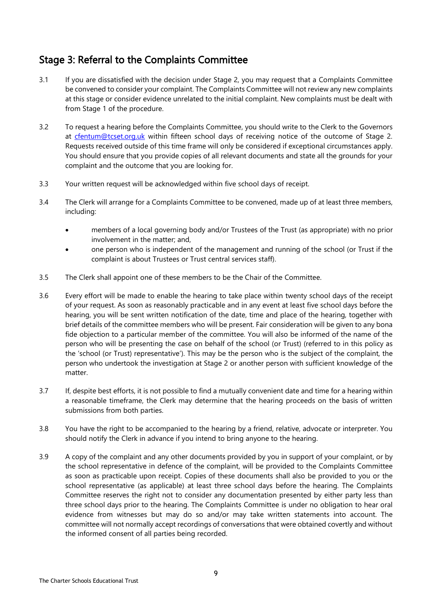## Stage 3: Referral to the Complaints Committee

- 3.1 If you are dissatisfied with the decision under Stage 2, you may request that a Complaints Committee be convened to consider your complaint. The Complaints Committee will not review any new complaints at this stage or consider evidence unrelated to the initial complaint. New complaints must be dealt with from Stage 1 of the procedure.
- 3.2 To request a hearing before the Complaints Committee, you should write to the Clerk to the Governors at [cfentum@tcset.org.uk](mailto:cfentum@tcset.org.uk) within fifteen school days of receiving notice of the outcome of Stage 2. Requests received outside of this time frame will only be considered if exceptional circumstances apply. You should ensure that you provide copies of all relevant documents and state all the grounds for your complaint and the outcome that you are looking for.
- 3.3 Your written request will be acknowledged within five school days of receipt.
- 3.4 The Clerk will arrange for a Complaints Committee to be convened, made up of at least three members, including:
	- members of a local governing body and/or Trustees of the Trust (as appropriate) with no prior involvement in the matter; and,
	- one person who is independent of the management and running of the school (or Trust if the complaint is about Trustees or Trust central services staff).
- 3.5 The Clerk shall appoint one of these members to be the Chair of the Committee.
- 3.6 Every effort will be made to enable the hearing to take place within twenty school days of the receipt of your request. As soon as reasonably practicable and in any event at least five school days before the hearing, you will be sent written notification of the date, time and place of the hearing, together with brief details of the committee members who will be present. Fair consideration will be given to any bona fide objection to a particular member of the committee. You will also be informed of the name of the person who will be presenting the case on behalf of the school (or Trust) (referred to in this policy as the 'school (or Trust) representative'). This may be the person who is the subject of the complaint, the person who undertook the investigation at Stage 2 or another person with sufficient knowledge of the matter.
- 3.7 If, despite best efforts, it is not possible to find a mutually convenient date and time for a hearing within a reasonable timeframe, the Clerk may determine that the hearing proceeds on the basis of written submissions from both parties.
- 3.8 You have the right to be accompanied to the hearing by a friend, relative, advocate or interpreter. You should notify the Clerk in advance if you intend to bring anyone to the hearing.
- 3.9 A copy of the complaint and any other documents provided by you in support of your complaint, or by the school representative in defence of the complaint, will be provided to the Complaints Committee as soon as practicable upon receipt. Copies of these documents shall also be provided to you or the school representative (as applicable) at least three school days before the hearing. The Complaints Committee reserves the right not to consider any documentation presented by either party less than three school days prior to the hearing. The Complaints Committee is under no obligation to hear oral evidence from witnesses but may do so and/or may take written statements into account. The committee will not normally accept recordings of conversations that were obtained covertly and without the informed consent of all parties being recorded.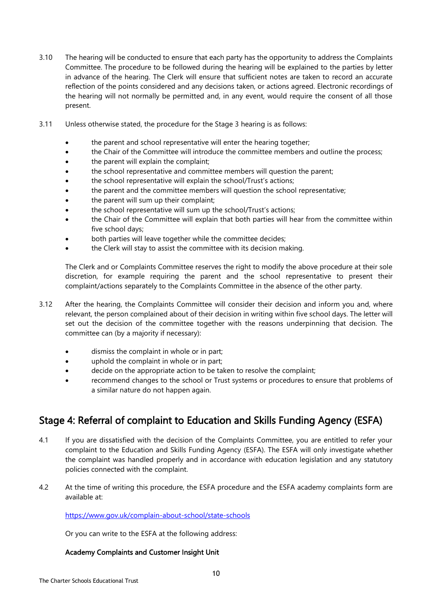- 3.10 The hearing will be conducted to ensure that each party has the opportunity to address the Complaints Committee. The procedure to be followed during the hearing will be explained to the parties by letter in advance of the hearing. The Clerk will ensure that sufficient notes are taken to record an accurate reflection of the points considered and any decisions taken, or actions agreed. Electronic recordings of the hearing will not normally be permitted and, in any event, would require the consent of all those present.
- 3.11 Unless otherwise stated, the procedure for the Stage 3 hearing is as follows:
	- the parent and school representative will enter the hearing together;
	- the Chair of the Committee will introduce the committee members and outline the process;
	- the parent will explain the complaint;
	- the school representative and committee members will question the parent;
	- the school representative will explain the school/Trust's actions;
	- the parent and the committee members will question the school representative;
	- the parent will sum up their complaint;
	- the school representative will sum up the school/Trust's actions;
	- the Chair of the Committee will explain that both parties will hear from the committee within five school days;
	- both parties will leave together while the committee decides;
	- the Clerk will stay to assist the committee with its decision making.

The Clerk and or Complaints Committee reserves the right to modify the above procedure at their sole discretion, for example requiring the parent and the school representative to present their complaint/actions separately to the Complaints Committee in the absence of the other party.

- 3.12 After the hearing, the Complaints Committee will consider their decision and inform you and, where relevant, the person complained about of their decision in writing within five school days. The letter will set out the decision of the committee together with the reasons underpinning that decision. The committee can (by a majority if necessary):
	- dismiss the complaint in whole or in part;
	- uphold the complaint in whole or in part;
	- decide on the appropriate action to be taken to resolve the complaint;
	- recommend changes to the school or Trust systems or procedures to ensure that problems of a similar nature do not happen again.

## Stage 4: Referral of complaint to Education and Skills Funding Agency (ESFA)

- 4.1 If you are dissatisfied with the decision of the Complaints Committee, you are entitled to refer your complaint to the Education and Skills Funding Agency (ESFA). The ESFA will only investigate whether the complaint was handled properly and in accordance with education legislation and any statutory policies connected with the complaint.
- 4.2 At the time of writing this procedure, the ESFA procedure and the ESFA academy complaints form are available at:

<https://www.gov.uk/complain-about-school/state-schools>

Or you can write to the ESFA at the following address:

#### Academy Complaints and Customer Insight Unit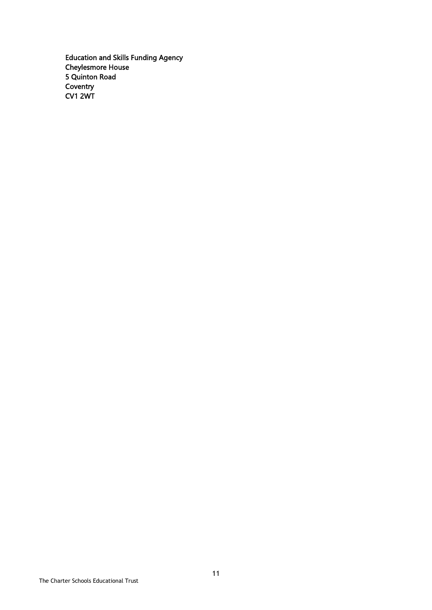Education and Skills Funding Agency Cheylesmore House 5 Quinton Road **Coventry** CV1 2WT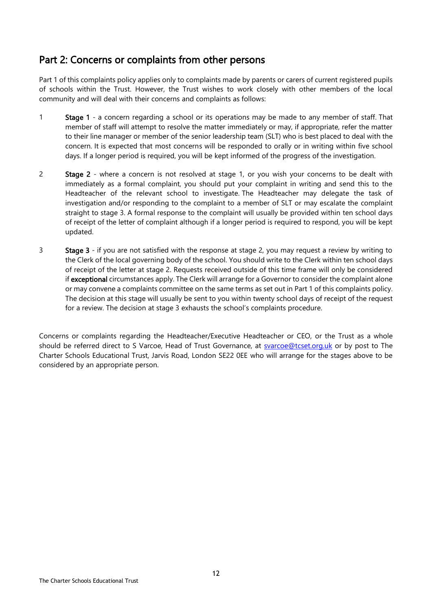## Part 2: Concerns or complaints from other persons

Part 1 of this complaints policy applies only to complaints made by parents or carers of current registered pupils of schools within the Trust. However, the Trust wishes to work closely with other members of the local community and will deal with their concerns and complaints as follows:

- 1 Stage 1 a concern regarding a school or its operations may be made to any member of staff. That member of staff will attempt to resolve the matter immediately or may, if appropriate, refer the matter to their line manager or member of the senior leadership team (SLT) who is best placed to deal with the concern. It is expected that most concerns will be responded to orally or in writing within five school days. If a longer period is required, you will be kept informed of the progress of the investigation.
- 2 Stage 2 where a concern is not resolved at stage 1, or you wish your concerns to be dealt with immediately as a formal complaint, you should put your complaint in writing and send this to the Headteacher of the relevant school to investigate. The Headteacher may delegate the task of investigation and/or responding to the complaint to a member of SLT or may escalate the complaint straight to stage 3. A formal response to the complaint will usually be provided within ten school days of receipt of the letter of complaint although if a longer period is required to respond, you will be kept updated.
- 3 Stage 3 if you are not satisfied with the response at stage 2, you may request a review by writing to the Clerk of the local governing body of the school. You should write to the Clerk within ten school days of receipt of the letter at stage 2. Requests received outside of this time frame will only be considered if exceptional circumstances apply. The Clerk will arrange for a Governor to consider the complaint alone or may convene a complaints committee on the same terms as set out in Part 1 of this complaints policy. The decision at this stage will usually be sent to you within twenty school days of receipt of the request for a review. The decision at stage 3 exhausts the school's complaints procedure.

Concerns or complaints regarding the Headteacher/Executive Headteacher or CEO, or the Trust as a whole should be referred direct to S Varcoe, Head of Trust Governance, at [svarcoe@tcset.org.uk](mailto:svarcoe@tcset.org.uk) or by post to The Charter Schools Educational Trust, Jarvis Road, London SE22 0EE who will arrange for the stages above to be considered by an appropriate person.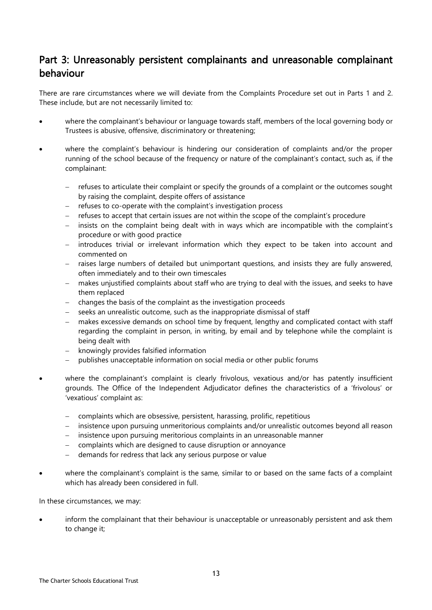## Part 3: Unreasonably persistent complainants and unreasonable complainant behaviour

There are rare circumstances where we will deviate from the Complaints Procedure set out in Parts 1 and 2. These include, but are not necessarily limited to:

- where the complainant's behaviour or language towards staff, members of the local governing body or Trustees is abusive, offensive, discriminatory or threatening;
- where the complaint's behaviour is hindering our consideration of complaints and/or the proper running of the school because of the frequency or nature of the complainant's contact, such as, if the complainant:
	- refuses to articulate their complaint or specify the grounds of a complaint or the outcomes sought by raising the complaint, despite offers of assistance
	- − refuses to co-operate with the complaint's investigation process
	- − refuses to accept that certain issues are not within the scope of the complaint's procedure
	- − insists on the complaint being dealt with in ways which are incompatible with the complaint's procedure or with good practice
	- introduces trivial or irrelevant information which they expect to be taken into account and commented on
	- − raises large numbers of detailed but unimportant questions, and insists they are fully answered, often immediately and to their own timescales
	- − makes unjustified complaints about staff who are trying to deal with the issues, and seeks to have them replaced
	- − changes the basis of the complaint as the investigation proceeds
	- − seeks an unrealistic outcome, such as the inappropriate dismissal of staff
	- − makes excessive demands on school time by frequent, lengthy and complicated contact with staff regarding the complaint in person, in writing, by email and by telephone while the complaint is being dealt with
	- knowingly provides falsified information
	- publishes unacceptable information on social media or other public forums
- where the complainant's complaint is clearly frivolous, vexatious and/or has patently insufficient grounds. The Office of the Independent Adjudicator defines the characteristics of a 'frivolous' or 'vexatious' complaint as:
	- − complaints which are obsessive, persistent, harassing, prolific, repetitious
	- − insistence upon pursuing unmeritorious complaints and/or unrealistic outcomes beyond all reason
	- insistence upon pursuing meritorious complaints in an unreasonable manner
	- − complaints which are designed to cause disruption or annoyance
	- − demands for redress that lack any serious purpose or value
- where the complainant's complaint is the same, similar to or based on the same facts of a complaint which has already been considered in full.

In these circumstances, we may:

inform the complainant that their behaviour is unacceptable or unreasonably persistent and ask them to change it;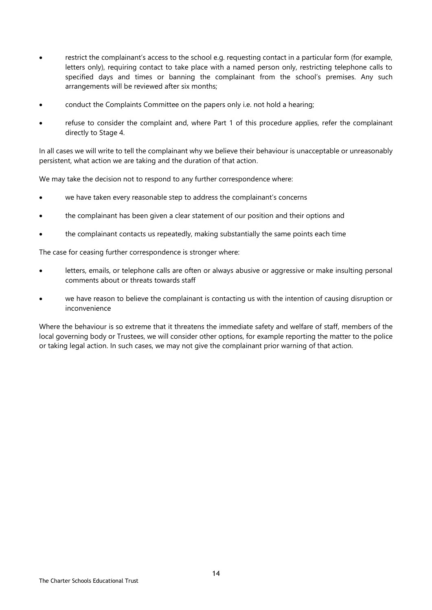- restrict the complainant's access to the school e.g. requesting contact in a particular form (for example, letters only), requiring contact to take place with a named person only, restricting telephone calls to specified days and times or banning the complainant from the school's premises. Any such arrangements will be reviewed after six months;
- conduct the Complaints Committee on the papers only i.e. not hold a hearing;
- refuse to consider the complaint and, where Part 1 of this procedure applies, refer the complainant directly to Stage 4.

In all cases we will write to tell the complainant why we believe their behaviour is unacceptable or unreasonably persistent, what action we are taking and the duration of that action.

We may take the decision not to respond to any further correspondence where:

- we have taken every reasonable step to address the complainant's concerns
- the complainant has been given a clear statement of our position and their options and
- the complainant contacts us repeatedly, making substantially the same points each time

The case for ceasing further correspondence is stronger where:

- letters, emails, or telephone calls are often or always abusive or aggressive or make insulting personal comments about or threats towards staff
- we have reason to believe the complainant is contacting us with the intention of causing disruption or inconvenience

Where the behaviour is so extreme that it threatens the immediate safety and welfare of staff, members of the local governing body or Trustees, we will consider other options, for example reporting the matter to the police or taking legal action. In such cases, we may not give the complainant prior warning of that action.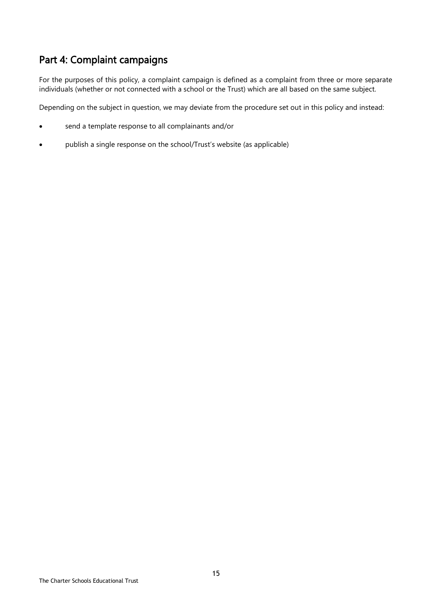## Part 4: Complaint campaigns

For the purposes of this policy, a complaint campaign is defined as a complaint from three or more separate individuals (whether or not connected with a school or the Trust) which are all based on the same subject.

Depending on the subject in question, we may deviate from the procedure set out in this policy and instead:

- send a template response to all complainants and/or
- publish a single response on the school/Trust's website (as applicable)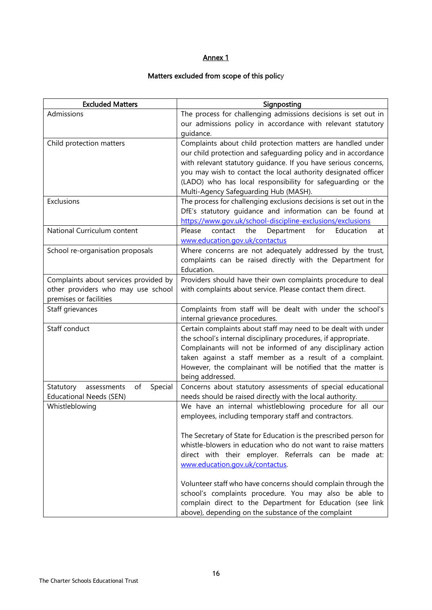#### Annex 1

#### Matters excluded from scope of this policy

| <b>Excluded Matters</b>                   | Signposting                                                                                                            |
|-------------------------------------------|------------------------------------------------------------------------------------------------------------------------|
| Admissions                                | The process for challenging admissions decisions is set out in                                                         |
|                                           | our admissions policy in accordance with relevant statutory<br>guidance.                                               |
| Child protection matters                  | Complaints about child protection matters are handled under                                                            |
|                                           | our child protection and safeguarding policy and in accordance                                                         |
|                                           | with relevant statutory guidance. If you have serious concerns,                                                        |
|                                           | you may wish to contact the local authority designated officer                                                         |
|                                           | (LADO) who has local responsibility for safeguarding or the                                                            |
| Exclusions                                | Multi-Agency Safeguarding Hub (MASH).<br>The process for challenging exclusions decisions is set out in the            |
|                                           | DfE's statutory guidance and information can be found at                                                               |
|                                           | https://www.gov.uk/school-discipline-exclusions/exclusions                                                             |
| National Curriculum content               | Please<br>contact<br>Department<br>Education<br>the<br>for<br>at                                                       |
|                                           | www.education.gov.uk/contactus                                                                                         |
| School re-organisation proposals          | Where concerns are not adequately addressed by the trust,<br>complaints can be raised directly with the Department for |
|                                           | Education.                                                                                                             |
| Complaints about services provided by     | Providers should have their own complaints procedure to deal                                                           |
| other providers who may use school        | with complaints about service. Please contact them direct.                                                             |
| premises or facilities                    |                                                                                                                        |
| Staff grievances                          | Complaints from staff will be dealt with under the school's<br>internal grievance procedures.                          |
| Staff conduct                             | Certain complaints about staff may need to be dealt with under                                                         |
|                                           | the school's internal disciplinary procedures, if appropriate.                                                         |
|                                           | Complainants will not be informed of any disciplinary action                                                           |
|                                           | taken against a staff member as a result of a complaint.                                                               |
|                                           | However, the complainant will be notified that the matter is<br>being addressed.                                       |
| Special<br>Statutory<br>of<br>assessments | Concerns about statutory assessments of special educational                                                            |
| <b>Educational Needs (SEN)</b>            | needs should be raised directly with the local authority.                                                              |
| Whistleblowing                            | We have an internal whistleblowing procedure for all our                                                               |
|                                           | employees, including temporary staff and contractors.                                                                  |
|                                           | The Secretary of State for Education is the prescribed person for                                                      |
|                                           | whistle-blowers in education who do not want to raise matters                                                          |
|                                           | direct with their employer. Referrals can be made at:                                                                  |
|                                           | www.education.gov.uk/contactus.                                                                                        |
|                                           | Volunteer staff who have concerns should complain through the                                                          |
|                                           | school's complaints procedure. You may also be able to                                                                 |
|                                           | complain direct to the Department for Education (see link                                                              |
|                                           | above), depending on the substance of the complaint                                                                    |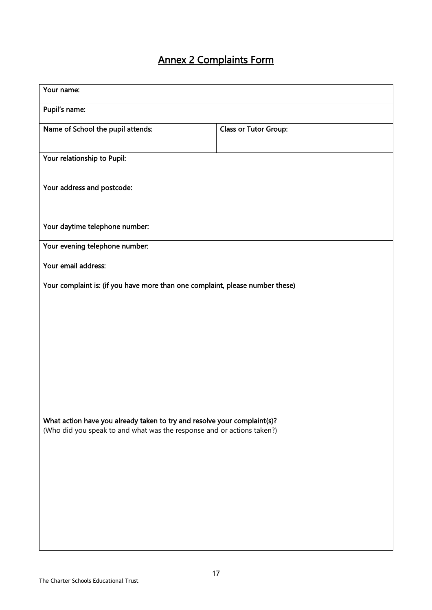## Annex 2 Complaints Form

| Your name:                                                                    |                       |
|-------------------------------------------------------------------------------|-----------------------|
| Pupil's name:                                                                 |                       |
| Name of School the pupil attends:                                             | Class or Tutor Group: |
| Your relationship to Pupil:                                                   |                       |
| Your address and postcode:                                                    |                       |
| Your daytime telephone number:                                                |                       |
| Your evening telephone number:                                                |                       |
| Your email address:                                                           |                       |
| Your complaint is: (if you have more than one complaint, please number these) |                       |
|                                                                               |                       |
|                                                                               |                       |
|                                                                               |                       |
|                                                                               |                       |
|                                                                               |                       |
|                                                                               |                       |
| What action have you already taken to try and resolve your complaint(s)?      |                       |
| (Who did you speak to and what was the response and or actions taken?)        |                       |
|                                                                               |                       |
|                                                                               |                       |
|                                                                               |                       |
|                                                                               |                       |
|                                                                               |                       |
|                                                                               |                       |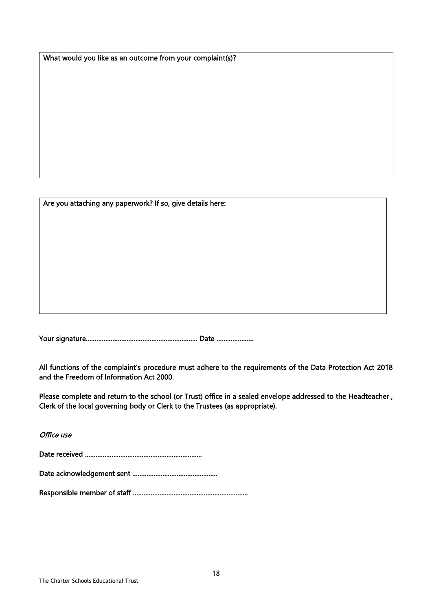What would you like as an outcome from your complaint(s)?

Are you attaching any paperwork? If so, give details here:

Your signature……………………………………………………… Date …………………

All functions of the complaint's procedure must adhere to the requirements of the Data Protection Act 2018 and the Freedom of Information Act 2000.

Please complete and return to the school (or Trust) office in a sealed envelope addressed to the Headteacher , Clerk of the local governing body or Clerk to the Trustees (as appropriate).

Office use

Date received …………………………………………………………

Date acknowledgement sent …………………………………………

Responsible member of staff ………………………………………………………..